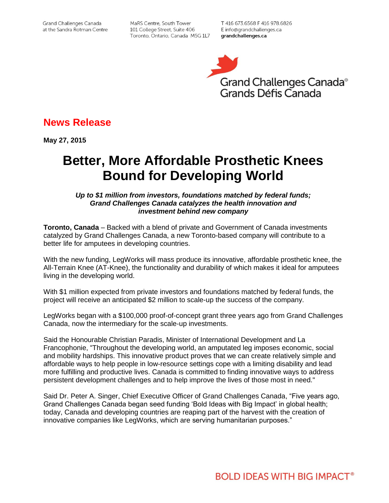MaRS Centre, South Tower 101 College Street, Suite 406 Toronto, Ontario, Canada M5G 1L7

T 416 673.6568 F 416 978.6826 E info@grandchallenges.ca grandchallenges.ca



# **News Release**

**May 27, 2015**

# **Better, More Affordable Prosthetic Knees Bound for Developing World**

## *Up to \$1 million from investors, foundations matched by federal funds; Grand Challenges Canada catalyzes the health innovation and investment behind new company*

**Toronto, Canada** – Backed with a blend of private and Government of Canada investments catalyzed by Grand Challenges Canada, a new Toronto-based company will contribute to a better life for amputees in developing countries.

With the new funding, LegWorks will mass produce its innovative, affordable prosthetic knee, the All-Terrain Knee (AT-Knee), the functionality and durability of which makes it ideal for amputees living in the developing world.

With \$1 million expected from private investors and foundations matched by federal funds, the project will receive an anticipated \$2 million to scale-up the success of the company.

LegWorks began with a \$100,000 proof-of-concept grant three years ago from Grand Challenges Canada, now the intermediary for the scale-up investments.

Said the Honourable Christian Paradis, Minister of International Development and La Francophonie, "Throughout the developing world, an amputated leg imposes economic, social and mobility hardships. This innovative product proves that we can create relatively simple and affordable ways to help people in low-resource settings cope with a limiting disability and lead more fulfilling and productive lives. Canada is committed to finding innovative ways to address persistent development challenges and to help improve the lives of those most in need."

Said Dr. Peter A. Singer, Chief Executive Officer of Grand Challenges Canada, "Five years ago, Grand Challenges Canada began seed funding 'Bold Ideas with Big Impact' in global health; today, Canada and developing countries are reaping part of the harvest with the creation of innovative companies like LegWorks, which are serving humanitarian purposes."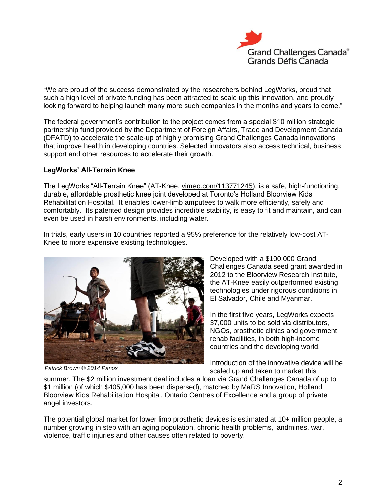

"We are proud of the success demonstrated by the researchers behind LegWorks, proud that such a high level of private funding has been attracted to scale up this innovation, and proudly looking forward to helping launch many more such companies in the months and years to come."

The federal government's contribution to the project comes from a special \$10 million strategic partnership fund provided by the Department of Foreign Affairs, Trade and Development Canada (DFATD) to accelerate the scale-up of highly promising Grand Challenges Canada innovations that improve health in developing countries. Selected innovators also access technical, business support and other resources to accelerate their growth.

# **LegWorks' All-Terrain Knee**

The LegWorks "All-Terrain Knee" (AT-Knee[,](http://vimeo.com/113771245) [vimeo.com/113771245\)](http://vimeo.com/113771245), is a safe, high-functioning, durable, affordable prosthetic knee joint developed at Toronto's Holland Bloorview Kids Rehabilitation Hospital. It enables lower-limb amputees to walk more efficiently, safely and comfortably. Its patented design provides incredible stability, is easy to fit and maintain, and can even be used in harsh environments, including water.

In trials, early users in 10 countries reported a 95% preference for the relatively low-cost AT-Knee to more expensive existing technologies.



*Patrick Brown © 2014 Panos*

Developed with a \$100,000 Grand Challenges Canada seed grant awarded in 2012 to the Bloorview Research Institute, the AT-Knee easily outperformed existing technologies under rigorous conditions in El Salvador, Chile and Myanmar.

In the first five years, LegWorks expects 37,000 units to be sold via distributors, NGOs, prosthetic clinics and government rehab facilities, in both high-income countries and the developing world.

Introduction of the innovative device will be scaled up and taken to market this

summer. The \$2 million investment deal includes a loan via Grand Challenges Canada of up to \$1 million (of which \$405,000 has been dispersed), matched by MaRS Innovation, Holland Bloorview Kids Rehabilitation Hospital, Ontario Centres of Excellence and a group of private angel investors.

The potential global market for lower limb prosthetic devices is estimated at 10+ million people, a number growing in step with an aging population, chronic health problems, landmines, war, violence, traffic injuries and other causes often related to poverty.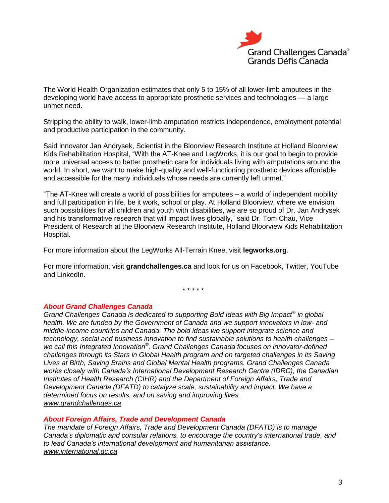

The World Health Organization estimates that only 5 to 15% of all lower-limb amputees in the developing world have access to appropriate prosthetic services and technologies — a large unmet need.

Stripping the ability to walk, lower-limb amputation restricts independence, employment potential and productive participation in the community.

Said innovator Jan Andrysek, Scientist in the Bloorview Research Institute at Holland Bloorview Kids Rehabilitation Hospital, "With the AT-Knee and LegWorks, it is our goal to begin to provide more universal access to better prosthetic care for individuals living with amputations around the world. In short, we want to make high-quality and well-functioning prosthetic devices affordable and accessible for the many individuals whose needs are currently left unmet."

"The AT-Knee will create a world of possibilities for amputees – a world of independent mobility and full participation in life, be it work, school or play. At Holland Bloorview, where we envision such possibilities for all children and youth with disabilities, we are so proud of Dr. Jan Andrysek and his transformative research that will impact lives globally," said Dr. Tom Chau, Vice President of Research at the Bloorview Research Institute, Holland Bloorview Kids Rehabilitation Hospital.

For more information about the LegWorks All-Terrain Knee, visi[t](http://www.legworks.org/) **[legworks.org](http://www.legworks.org/)**.

For more information, visit **grandchallenges.ca** and look for us on Facebook, Twitter, YouTube and LinkedIn.

\* \* \* \* \*

#### *About Grand Challenges Canada*

*Grand Challenges Canada is dedicated to supporting Bold Ideas with Big Impact® in global health. We are funded by the Government of Canada and we support innovators in low- and middle-income countries and Canada. The bold ideas we support integrate science and technology, social and business innovation to find sustainable solutions to health challenges – we call this Integrated Innovation® . Grand Challenges Canada focuses on innovator-defined challenges through its Stars in Global Health program and on targeted challenges in its Saving Lives at Birth, Saving Brains and Global Mental Health programs. Grand Challenges Canada works closely with Canada's International Development Research Centre (IDRC), the Canadian Institutes of Health Research (CIHR) and the Department of Foreign Affairs, Trade and Development Canada (DFATD) to catalyze scale, sustainability and impact. We have a determined focus on results, and on saving and improving lives. [www.grandchallenges.ca](http://www.grandchallenges.ca/)*

#### *About Foreign Affairs, Trade and Development Canada*

*The mandate of Foreign Affairs, Trade and Development Canada (DFATD) is to manage Canada's diplomatic and consular relations, to encourage the country's international trade, and to lead Canada's international development and humanitarian assistance. www.international.gc.ca*